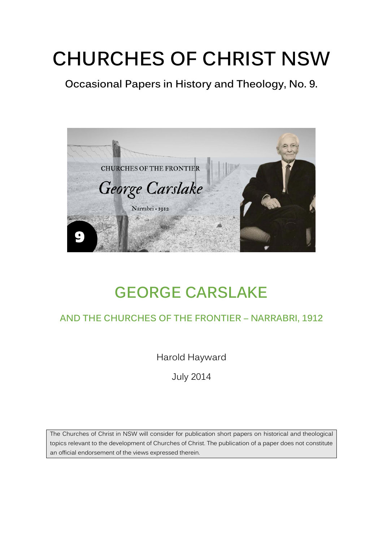# **CHURCHES OF CHRIST NSW**

**Occasional Papers in History and Theology, No. 9.**



## **GEORGE CARSLAKE**

### **AND THE CHURCHES OF THE FRONTIER – NARRABRI, 1912**

Harold Hayward

July 2014

The Churches of Christ in NSW will consider for publication short papers on historical and theological topics relevant to the development of Churches of Christ. The publication of a paper does not constitute an official endorsement of the views expressed therein.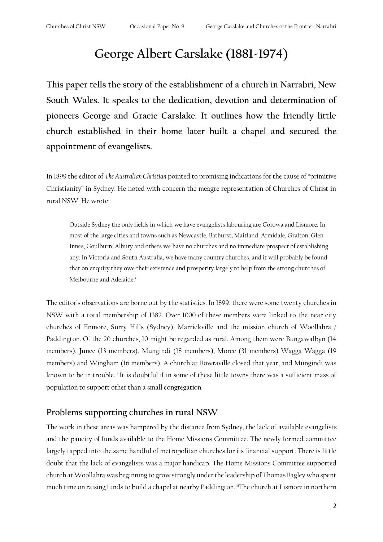## **George Albert Carslake (1881-1974)**

**This paper tells the story of the establishment of a church in Narrabri, New South Wales. It speaks to the dedication, devotion and determination of pioneers George and Gracie Carslake. It outlines how the friendly little church established in their home later built a chapel and secured the appointment of evangelists.** 

In 1899 the editor of *The Australian Christian* pointed to promising indications for the cause of "primitive Christianity" in Sydney. He noted with concern the meagre representation of Churches of Christ in rural NSW. He wrote:

Outside Sydney the only fields in which we have evangelists labouring are Corowa and Lismore. In most of the large cities and towns such as Newcastle, Bathurst, Maitland, Armidale, Grafton, Glen Innes, Goulburn, Albury and others we have no churches and no immediate prospect of establishing any. In Victoria and South Australia, we have many country churches, and it will probably be found that on enquiry they owe their existence and prosperity largely to help from the strong churches of Melbourne and Adelaide.<sup>i</sup>

The editor's observations are borne out by the statistics. In 1899, there were some twenty churches in NSW with a total membership of 1382. Over 1000 of these members were linked to the near city churches of Enmore, Surry Hills (Sydney), Marrickville and the mission church of Woollahra / Paddington. Of the 20 churches, 10 might be regarded as rural. Among them were Bungawalbyn (14 members), Junee (13 members), Mungindi (18 members), Moree (31 members) Wagga Wagga (19 members) and Wingham (16 members). A church at Bowraville closed that year, and Mungindi was known to be in trouble.<sup>ii</sup> It is doubtful if in some of these little towns there was a sufficient mass of population to support other than a small congregation.

#### **Problems supporting churches in rural NSW**

The work in these areas was hampered by the distance from Sydney, the lack of available evangelists and the paucity of funds available to the Home Missions Committee. The newly formed committee largely tapped into the same handful of metropolitan churches for its financial support. There is little doubt that the lack of evangelists was a major handicap. The Home Missions Committee supported church at Woollahra was beginning to grow strongly under the leadership of Thomas Bagley who spent much time on raising funds to build a chapel at nearby Paddington.<sup>iii</sup>The church at Lismore in northern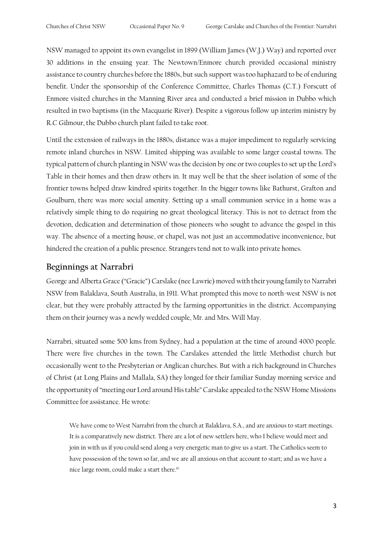NSW managed to appoint its own evangelist in 1899 (William James (W.J.) Way) and reported over 30 additions in the ensuing year. The Newtown/Enmore church provided occasional ministry assistance to country churches before the 1880s, but such support was too haphazard to be of enduring benefit. Under the sponsorship of the Conference Committee, Charles Thomas (C.T.) Forscutt of Enmore visited churches in the Manning River area and conducted a brief mission in Dubbo which resulted in two baptisms (in the Macquarie River). Despite a vigorous follow up interim ministry by R.C Gilmour, the Dubbo church plant failed to take root.

Until the extension of railways in the 1880s, distance was a major impediment to regularly servicing remote inland churches in NSW. Limited shipping was available to some larger coastal towns. The typical pattern of church planting in NSW was the decision by one or two couples to set up the Lord's Table in their homes and then draw others in. It may well be that the sheer isolation of some of the frontier towns helped draw kindred spirits together. In the bigger towns like Bathurst, Grafton and Goulburn, there was more social amenity. Setting up a small communion service in a home was a relatively simple thing to do requiring no great theological literacy. This is not to detract from the devotion, dedication and determination of those pioneers who sought to advance the gospel in this way. The absence of a meeting house, or chapel, was not just an accommodative inconvenience, but hindered the creation of a public presence. Strangers tend not to walk into private homes.

#### **Beginnings at Narrabri**

George and Alberta Grace ("Gracie") Carslake (nee Lawrie) moved with their young family to Narrabri NSW from Balaklava, South Australia, in 1911. What prompted this move to north-west NSW is not clear, but they were probably attracted by the farming opportunities in the district. Accompanying them on their journey was a newly wedded couple, Mr. and Mrs. Will May.

Narrabri, situated some 500 kms from Sydney, had a population at the time of around 4000 people. There were five churches in the town. The Carslakes attended the little Methodist church but occasionally went to the Presbyterian or Anglican churches. But with a rich background in Churches of Christ (at Long Plains and Mallala, SA) they longed for their familiar Sunday morning service and the opportunity of "meeting our Lord around His table" Carslake appealed to the NSW Home Missions Committee for assistance. He wrote:

We have come to West Narrabri from the church at Balaklava, S.A., and are anxious to start meetings. It is a comparatively new district. There are a lot of new settlers here, who I believe would meet and join in with us if you could send along a very energetic man to give us a start. The Catholics seem to have possession of the town so far, and we are all anxious on that account to start; and as we have a nice large room, could make a start there.<sup>iv</sup>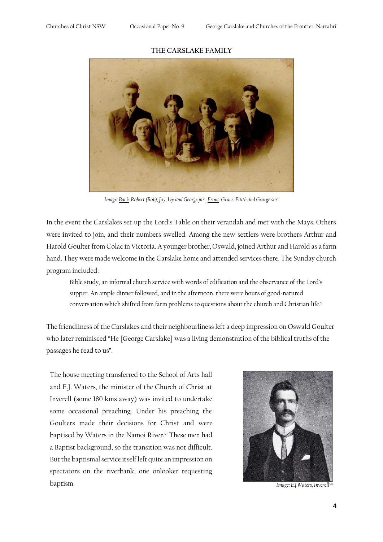#### **THE CARSLAKE FAMILY**



*Image: Back: Robert (Bob), Joy, Ivy and George jnr. Front: Grace, Faith and George snr.*

In the event the Carslakes set up the Lord's Table on their verandah and met with the Mays. Others were invited to join, and their numbers swelled. Among the new settlers were brothers Arthur and Harold Goulter from Colac in Victoria. A younger brother, Oswald, joined Arthur and Harold as a farm hand. They were made welcome in the Carslake home and attended services there. The Sunday church program included:

Bible study, an informal church service with words of edification and the observance of the Lord's supper. An ample dinner followed, and in the afternoon, there were hours of good-natured conversation which shifted from farm problems to questions about the church and Christian life.<sup>v</sup>

The friendliness of the Carslakes and their neighbourliness left a deep impression on Oswald Goulter who later reminisced "He [George Carslake] was a living demonstration of the biblical truths of the passages he read to us".

The house meeting transferred to the School of Arts hall and E.J. Waters, the minister of the Church of Christ at Inverell (some 180 kms away) was invited to undertake some occasional preaching. Under his preaching the Goulters made their decisions for Christ and were baptised by Waters in the Namoi River.<sup>vi</sup> These men had a Baptist background, so the transition was not difficult. But the baptismal service itself left quite an impression on spectators on the riverbank, one onlooker requesting baptism. *Image: E.J.Waters, Inverellvii*

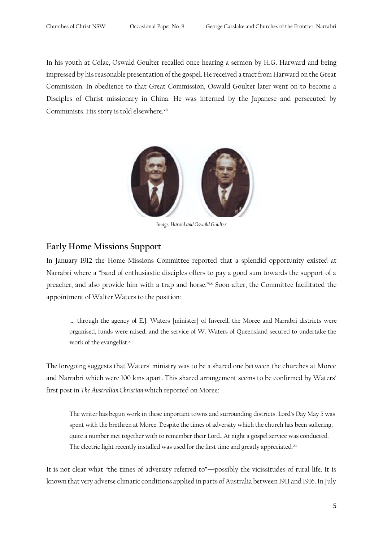In his youth at Colac, Oswald Goulter recalled once hearing a sermon by H.G. Harward and being impressed by his reasonable presentation of the gospel. He received a tract from Harward on the Great Commission. In obedience to that Great Commission, Oswald Goulter later went on to become a Disciples of Christ missionary in China. He was interned by the Japanese and persecuted by Communists. His story is told elsewhere.<sup>viii</sup>



*Image: Harold and Oswald Goulter*

#### **Early Home Missions Support**

In January 1912 the Home Missions Committee reported that a splendid opportunity existed at Narrabri where a "band of enthusiastic disciples offers to pay a good sum towards the support of a preacher, and also provide him with a trap and horse."ix Soon after, the Committee facilitated the appointment of Walter Waters to the position:

…. through the agency of E.J. Waters [minister] of Inverell, the Moree and Narrabri districts were organised, funds were raised, and the service of W. Waters of Queensland secured to undertake the work of the evangelist.<sup>x</sup>

The foregoing suggests that Waters' ministry was to be a shared one between the churches at Moree and Narrabri which were 100 kms apart. This shared arrangement seems to be confirmed by Waters' first post in *The Australian Christian* which reported on Moree:

The writer has begun work in these important towns and surrounding districts. Lord's Day May 5 was spent with the brethren at Moree. Despite the times of adversity which the church has been suffering, quite a number met together with to remember their Lord…At night a gospel service was conducted. The electric light recently installed was used for the first time and greatly appreciated.xi

It is not clear what "the times of adversity referred to"—possibly the vicissitudes of rural life. It is known that very adverse climatic conditions applied in parts of Australia between 1911 and 1916. In July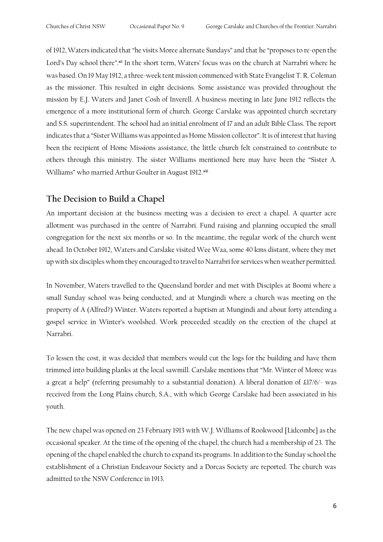of 1912, Waters indicated that "he visits Moree alternate Sundays" and that he "proposes to re-open the Lord's Day school there".<sup>xii</sup> In the short term, Waters' focus was on the church at Narrabri where he was based. On 19 May 1912, a three-week tent mission commenced with State Evangelist T. R. Coleman as the missioner. This resulted in eight decisions. Some assistance was provided throughout the mission by E.J. Waters and Janet Cosh of Inverell. A business meeting in late June 1912 reflects the emergence of a more institutional form of church. George Carslake was appointed church secretary and S.S. superintendent. The school had an initial enrolment of 17 and an adult Bible Class. The report indicates that a "Sister Williams was appointed as Home Mission collector". It is of interest that having been the recipient of Home Missions assistance, the little church felt constrained to contribute to others through this ministry. The sister Williams mentioned here may have been the "Sister A. Williams" who married Arthur Goulter in August 1912.<sup>xiii</sup>

#### **The Decision to Build a Chapel**

An important decision at the business meeting was a decision to erect a chapel. A quarter acre allotment was purchased in the centre of Narrabri. Fund raising and planning occupied the small congregation for the next six months or so. In the meantime, the regular work of the church went ahead. In October 1912, Waters and Carslake visited Wee Waa, some 40 kms distant, where they met up with six disciples whom they encouraged to travel to Narrabri for services when weather permitted.

In November, Waters travelled to the Queensland border and met with Disciples at Boomi where a small Sunday school was being conducted, and at Mungindi where a church was meeting on the property of A (Alfred?) Winter. Waters reported a baptism at Mungindi and about forty attending a gospel service in Winter's woolshed. Work proceeded steadily on the erection of the chapel at Narrabri.

To lessen the cost, it was decided that members would cut the logs for the building and have them trimmed into building planks at the local sawmill. Carslake mentions that "Mr. Winter of Moree was a great a help" (referring presumably to a substantial donation). A liberal donation of £17/6/- was received from the Long Plains church, S.A., with which George Carslake had been associated in his youth.

The new chapel was opened on 23 February 1913 with W.J. Williams of Rookwood [Lidcombe] as the occasional speaker. At the time of the opening of the chapel, the church had a membership of 23. The opening of the chapel enabled the church to expand its programs. In addition to the Sunday school the establishment of a Christian Endeavour Society and a Dorcas Society are reported. The church was admitted to the NSW Conference in 1913.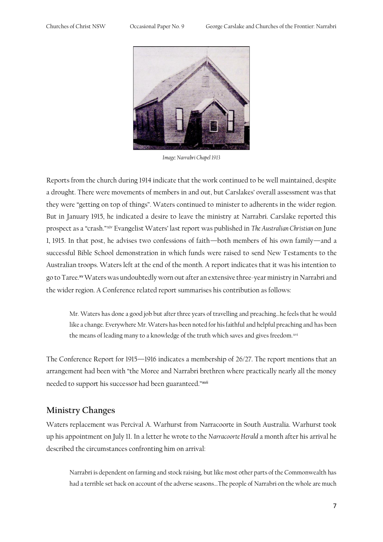

*Image: Narrabri Chapel 1913*

Reports from the church during 1914 indicate that the work continued to be well maintained, despite a drought. There were movements of members in and out, but Carslakes' overall assessment was that they were "getting on top of things". Waters continued to minister to adherents in the wider region. But in January 1915, he indicated a desire to leave the ministry at Narrabri. Carslake reported this prospect as a "crash."xiv Evangelist Waters' last report was published in *The Australian Christian* on June 1, 1915. In that post, he advises two confessions of faith—both members of his own family—and a successful Bible School demonstration in which funds were raised to send New Testaments to the Australian troops. Waters left at the end of the month. A report indicates that it was his intention to go to Taree.<sup>xv</sup> Waters was undoubtedly worn out after an extensive three-year ministry in Narrabri and the wider region. A Conference related report summarises his contribution as follows:

Mr. Waters has done a good job but after three years of travelling and preaching…he feels that he would like a change. Everywhere Mr. Waters has been noted for his faithful and helpful preaching and has been the means of leading many to a knowledge of the truth which saves and gives freedom.xvi

The Conference Report for 1915—1916 indicates a membership of 26/27. The report mentions that an arrangement had been with "the Moree and Narrabri brethren where practically nearly all the money needed to support his successor had been guaranteed."xvii

#### **Ministry Changes**

Waters replacement was Percival A. Warhurst from Narracoorte in South Australia. Warhurst took up his appointment on July 11. In a letter he wrote to the *Narracoorte Herald* a month after his arrival he described the circumstances confronting him on arrival:

Narrabri is dependent on farming and stock raising, but like most other parts of the Commonwealth has had a terrible set back on account of the adverse seasons…The people of Narrabri on the whole are much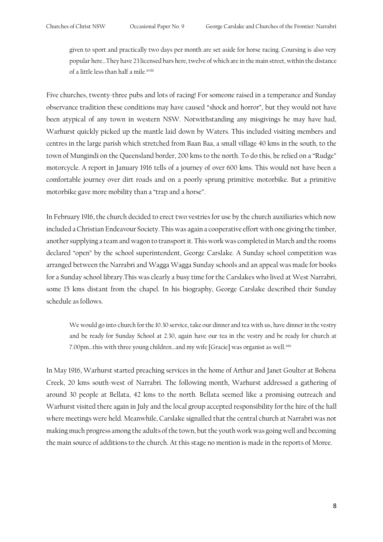given to sport and practically two days per month are set aside for horse racing. Coursing is also very popular here…They have 23 licensed bars here, twelve of which are in the main street, within the distance of a little less than half a mile.<sup>xviii</sup>

Five churches, twenty-three pubs and lots of racing! For someone raised in a temperance and Sunday observance tradition these conditions may have caused "shock and horror", but they would not have been atypical of any town in western NSW. Notwithstanding any misgivings he may have had, Warhurst quickly picked up the mantle laid down by Waters. This included visiting members and centres in the large parish which stretched from Baan Baa, a small village 40 kms in the south, to the town of Mungindi on the Queensland border, 200 kms to the north. To do this, he relied on a "Rudge" motorcycle. A report in January 1916 tells of a journey of over 600 kms. This would not have been a comfortable journey over dirt roads and on a poorly sprung primitive motorbike. But a primitive motorbike gave more mobility than a "trap and a horse".

In February 1916, the church decided to erect two vestries for use by the church auxiliaries which now included a Christian Endeavour Society. This was again a cooperative effort with one giving the timber, another supplying a team and wagon to transport it. This work was completed in March and the rooms declared "open" by the school superintendent, George Carslake. A Sunday school competition was arranged between the Narrabri and Wagga Wagga Sunday schools and an appeal was made for books for a Sunday school library.This was clearly a busy time for the Carslakes who lived at West Narrabri, some 15 kms distant from the chapel. In his biography, George Carslake described their Sunday schedule as follows.

We would go into church for the 10.30 service, take our dinner and tea with us, have dinner in the vestry and be ready for Sunday School at 2.30, again have our tea in the vestry and be ready for church at 7.00pm...this with three young children...and my wife [Gracie] was organist as well.xix

In May 1916, Warhurst started preaching services in the home of Arthur and Janet Goulter at Bohena Creek, 20 kms south-west of Narrabri. The following month, Warhurst addressed a gathering of around 30 people at Bellata, 42 kms to the north. Bellata seemed like a promising outreach and Warhurst visited there again in July and the local group accepted responsibility for the hire of the hall where meetings were held. Meanwhile, Carslake signalled that the central church at Narrabri was not making much progress among the adults of the town, but the youth work was going well and becoming the main source of additions to the church. At this stage no mention is made in the reports of Moree.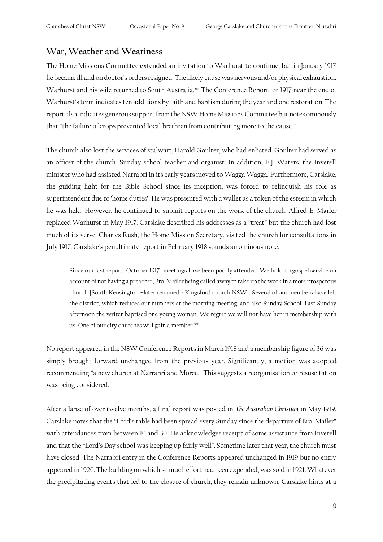#### **War, Weather and Weariness**

The Home Missions Committee extended an invitation to Warhurst to continue, but in January 1917 he became ill and on doctor's orders resigned. The likely cause was nervous and/or physical exhaustion. Warhurst and his wife returned to South Australia.xx The Conference Report for 1917 near the end of Warhurst's term indicates ten additions by faith and baptism during the year and one restoration. The report also indicates generous support from the NSW Home Missions Committee but notes ominously that "the failure of crops prevented local brethren from contributing more to the cause."

The church also lost the services of stalwart, Harold Goulter, who had enlisted. Goulter had served as an officer of the church, Sunday school teacher and organist. In addition, E.J. Waters, the Inverell minister who had assisted Narrabri in its early years moved to Wagga Wagga. Furthermore, Carslake, the guiding light for the Bible School since its inception, was forced to relinquish his role as superintendent due to 'home duties'. He was presented with a wallet as a token of the esteem in which he was held. However, he continued to submit reports on the work of the church. Alfred E. Marler replaced Warhurst in May 1917. Carslake described his addresses as a "treat" but the church had lost much of its verve. Charles Rush, the Home Mission Secretary, visited the church for consultations in July 1917. Carslake's penultimate report in February 1918 sounds an ominous note:

Since our last report [October 1917] meetings have been poorly attended. We hold no gospel service on account of not having a preacher, Bro. Mailer being called away to take up the work in a more prosperous church [South Kensington –later renamed - Kingsford church NSW]. Several of our members have left the district, which reduces our numbers at the morning meeting, and also Sunday School. Last Sunday afternoon the writer baptised one young woman. We regret we will not have her in membership with us. One of our city churches will gain a member.xxi

No report appeared in the NSW Conference Reports in March 1918 and a membership figure of 36 was simply brought forward unchanged from the previous year. Significantly, a motion was adopted recommending "a new church at Narrabri and Moree." This suggests a reorganisation or resuscitation was being considered.

After a lapse of over twelve months, a final report was posted in *The Australian Christian* in May 1919. Carslake notes that the "Lord's table had been spread every Sunday since the departure of Bro. Mailer" with attendances from between 10 and 30. He acknowledges receipt of some assistance from Inverell and that the "Lord's Day school was keeping up fairly well". Sometime later that year, the church must have closed. The Narrabri entry in the Conference Reports appeared unchanged in 1919 but no entry appeared in 1920. The building on which so much effort had been expended, was sold in 1921. Whatever the precipitating events that led to the closure of church, they remain unknown. Carslake hints at a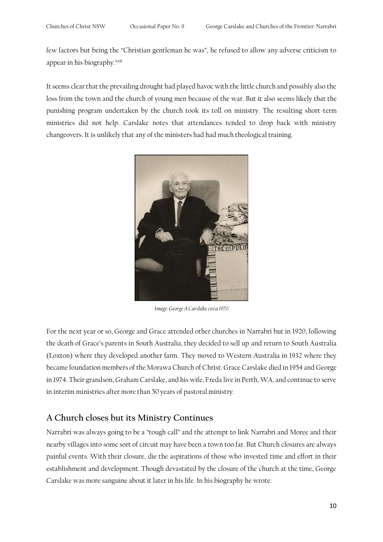few factors but being the "Christian gentleman he was", he refused to allow any adverse criticism to appear in his biography.<sup>xxii</sup>

It seems clear that the prevailing drought had played havoc with the little church and possibly also the loss from the town and the church of young men because of the war. But it also seems likely that the punishing program undertaken by the church took its toll on ministry. The resulting short-term ministries did not help. Carslake notes that attendances tended to drop back with ministry changeovers. It is unlikely that any of the ministers had had much theological training.



*Image: George A Carslake circa 1970*

For the next year or so, George and Grace attended other churches in Narrabri but in 1920, following the death of Grace's parents in South Australia, they decided to sell up and return to South Australia (Loxton) where they developed another farm. They moved to Western Australia in 1932 where they became foundation members of the Morawa Church of Christ. Grace Carslake died in 1954 and George in 1974. Their grandson, Graham Carslake, and his wife, Freda live in Perth, WA, and continue to serve in interim ministries after more than 50 years of pastoral ministry.

#### **A Church closes but its Ministry Continues**

Narrabri was always going to be a "tough call" and the attempt to link Narrabri and Moree and their nearby villages into some sort of circuit may have been a town too far. But Church closures are always painful events. With their closure, die the aspirations of those who invested time and effort in their establishment and development. Though devastated by the closure of the church at the time, George Carslake was more sanguine about it later in his life. In his biography he wrote: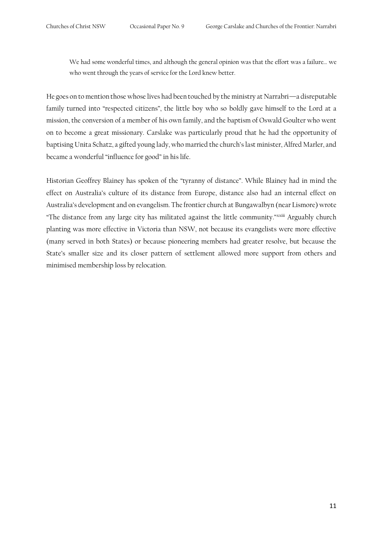We had some wonderful times, and although the general opinion was that the effort was a failure… we who went through the years of service for the Lord knew better.

He goes on to mention those whose lives had been touched by the ministry at Narrabri—a disreputable family turned into "respected citizens", the little boy who so boldly gave himself to the Lord at a mission, the conversion of a member of his own family, and the baptism of Oswald Goulter who went on to become a great missionary. Carslake was particularly proud that he had the opportunity of baptising Unita Schatz, a gifted young lady, who married the church's last minister, Alfred Marler, and became a wonderful "influence for good" in his life.

Historian Geoffrey Blainey has spoken of the "tyranny of distance". While Blainey had in mind the effect on Australia's culture of its distance from Europe, distance also had an internal effect on Australia's development and on evangelism. The frontier church at Bungawalbyn (near Lismore) wrote "The distance from any large city has militated against the little community."xxiii Arguably church planting was more effective in Victoria than NSW, not because its evangelists were more effective (many served in both States) or because pioneering members had greater resolve, but because the State's smaller size and its closer pattern of settlement allowed more support from others and minimised membership loss by relocation.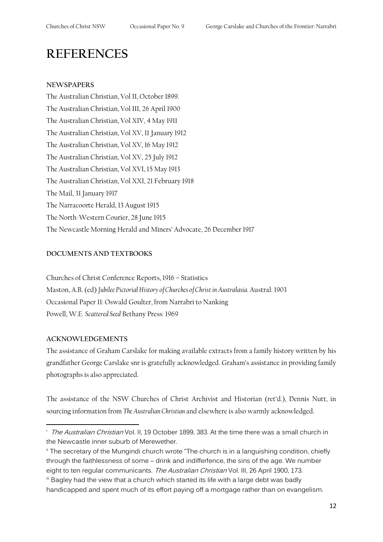## **REFERENCES**

#### **NEWSPAPERS**

The Australian Christian, Vol II, October 1899. The Australian Christian, Vol III, 26 April 1900 The Australian Christian, Vol XIV, 4 May 1911 The Australian Christian, Vol XV, 11 January 1912 The Australian Christian, Vol XV, 16 May 1912 The Australian Christian, Vol XV, 25 July 1912 The Australian Christian, Vol XVI, 15 May 1913 The Australian Christian, Vol XXI, 21 February 1918 The Mail, 31 January 1917 The Narracoorte Herald, 13 August 1915 The North-Western Courier, 28 June 1915 The Newcastle Morning Herald and Miners' Advocate, 26 December 1917

#### **DOCUMENTS AND TEXTBOOKS**

Churches of Christ Conference Reports, 1916 – Statistics Maston, A.B. (ed) *Jubilee Pictorial History of Churches of Christ in Australasia.* Austral: 1903 Occasional Paper 11: Oswald Goulter, from Narrabri to Nanking Powell, W.E. *Scattered Seed* Bethany Press: 1969

#### **ACKNOWLEDGEMENTS**

The assistance of Graham Carslake for making available extracts from a family history written by his grandfather George Carslake snr is gratefully acknowledged. Graham's assistance in providing family photographs is also appreciated.

The assistance of the NSW Churches of Christ Archivist and Historian (ret'd.), Dennis Nutt, in sourcing information from *The Australian Christian* and elsewhere is also warmly acknowledged.

<sup>&</sup>lt;sup>i</sup> The Australian Christian Vol. II, 19 October 1899, 383. At the time there was a small church in the Newcastle inner suburb of Merewether.

ii The secretary of the Mungindi church wrote "The church is in a languishing condition, chiefly through the faithlessness of some – drink and indifferfence, the sins of the age. We number eight to ten regular communicants. The Australian Christian Vol. III, 26 April 1900, 173.

iii Bagley had the view that a church which started its life with a large debt was badly handicapped and spent much of its effort paying off a mortgage rather than on evangelism.